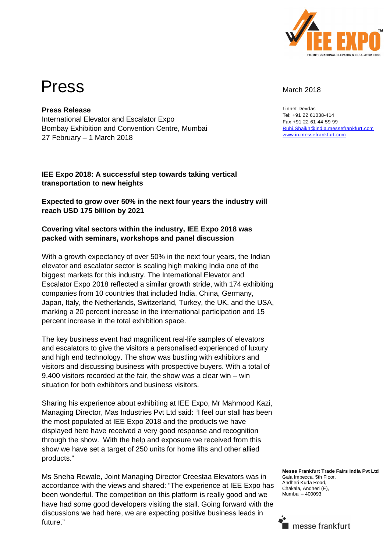

# Press March 2018

Linnet Devdas Tel: +91 22 61038-414 Fax +91 22 61 44-59 99 Ruhi.Shaikh@india.messefrankfurt.com www.in.messefrankfurt.com

**Press Release** International Elevator and Escalator Expo Bombay Exhibition and Convention Centre, Mumbai 27 February – 1 March 2018

#### **IEE Expo 2018: A successful step towards taking vertical transportation to new heights**

## **Expected to grow over 50% in the next four years the industry will reach USD 175 billion by 2021**

### **Covering vital sectors within the industry, IEE Expo 2018 was packed with seminars, workshops and panel discussion**

With a growth expectancy of over 50% in the next four years, the Indian elevator and escalator sector is scaling high making India one of the biggest markets for this industry. The International Elevator and Escalator Expo 2018 reflected a similar growth stride, with 174 exhibiting companies from 10 countries that included India, China, Germany, Japan, Italy, the Netherlands, Switzerland, Turkey, the UK, and the USA, marking a 20 percent increase in the international participation and 15 percent increase in the total exhibition space.

The key business event had magnificent real-life samples of elevators and escalators to give the visitors a personalised experienced of luxury and high end technology. The show was bustling with exhibitors and visitors and discussing business with prospective buyers. With a total of 9,400 visitors recorded at the fair, the show was a clear win – win situation for both exhibitors and business visitors.

Sharing his experience about exhibiting at IEE Expo, Mr Mahmood Kazi, Managing Director, Mas Industries Pvt Ltd said: "I feel our stall has been the most populated at IEE Expo 2018 and the products we have displayed here have received a very good response and recognition through the show. With the help and exposure we received from this show we have set a target of 250 units for home lifts and other allied products."

Ms Sneha Rewale, Joint Managing Director Creestaa Elevators was in accordance with the views and shared: "The experience at IEE Expo has been wonderful. The competition on this platform is really good and we have had some good developers visiting the stall. Going forward with the discussions we had here, we are expecting positive business leads in future."

**Messe Frankfurt Trade Fairs India Pvt Ltd** Gala Impecca, 5th Floor, Andheri Kurla Road, Chakala, Andheri (E), Mumbai – 400093

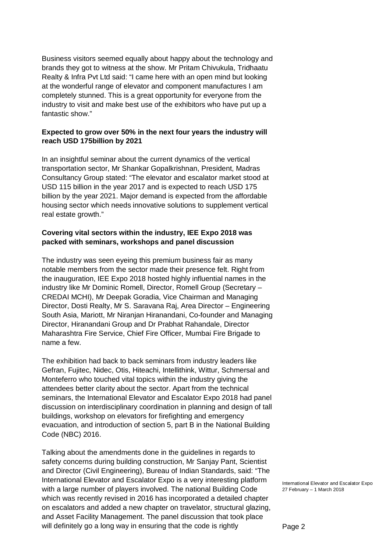Business visitors seemed equally about happy about the technology and brands they got to witness at the show. Mr Pritam Chivukula, Tridhaatu Realty & Infra Pvt Ltd said: "I came here with an open mind but looking at the wonderful range of elevator and component manufactures I am completely stunned. This is a great opportunity for everyone from the industry to visit and make best use of the exhibitors who have put up a fantastic show."

#### **Expected to grow over 50% in the next four years the industry will reach USD 175billion by 2021**

In an insightful seminar about the current dynamics of the vertical transportation sector, Mr Shankar Gopalkrishnan, President, Madras Consultancy Group stated: "The elevator and escalator market stood at USD 115 billion in the year 2017 and is expected to reach USD 175 billion by the year 2021. Major demand is expected from the affordable housing sector which needs innovative solutions to supplement vertical real estate growth."

#### **Covering vital sectors within the industry, IEE Expo 2018 was packed with seminars, workshops and panel discussion**

The industry was seen eyeing this premium business fair as many notable members from the sector made their presence felt. Right from the inauguration, IEE Expo 2018 hosted highly influential names in the industry like Mr Dominic Romell, Director, Romell Group (Secretary – CREDAI MCHI), Mr Deepak Goradia, Vice Chairman and Managing Director, Dosti Realty, Mr S. Saravana Raj, Area Director – Engineering South Asia, Mariott, Mr Niranjan Hiranandani, Co-founder and Managing Director, Hiranandani Group and Dr Prabhat Rahandale, Director Maharashtra Fire Service, Chief Fire Officer, Mumbai Fire Brigade to name a few.

The exhibition had back to back seminars from industry leaders like Gefran, Fujitec, Nidec, Otis, Hiteachi, Intellithink, Wittur, Schmersal and Monteferro who touched vital topics within the industry giving the attendees better clarity about the sector. Apart from the technical seminars, the International Elevator and Escalator Expo 2018 had panel discussion on interdisciplinary coordination in planning and design of tall buildings, workshop on elevators for firefighting and emergency evacuation, and introduction of section 5, part B in the National Building Code (NBC) 2016.

Talking about the amendments done in the guidelines in regards to safety concerns during building construction, Mr Sanjay Pant, Scientist and Director (Civil Engineering), Bureau of Indian Standards, said: "The International Elevator and Escalator Expo is a very interesting platform with a large number of players involved. The national Building Code which was recently revised in 2016 has incorporated a detailed chapter on escalators and added a new chapter on travelator, structural glazing, and Asset Facility Management. The panel discussion that took place will definitely go a long way in ensuring that the code is rightly

International Elevator and Escalator Expo 27 February – 1 March 2018